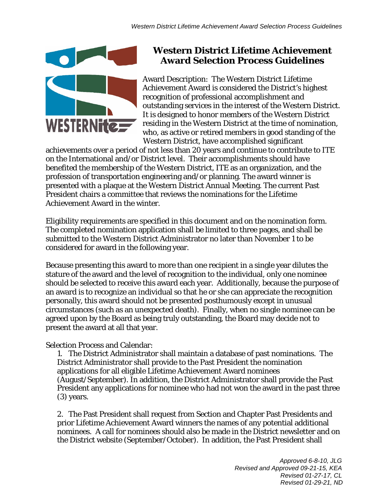

## **Western District Lifetime Achievement Award Selection Process Guidelines**

Award Description: The Western District Lifetime Achievement Award is considered the District's highest recognition of professional accomplishment and outstanding services in the interest of the Western District. It is designed to honor members of the Western District residing in the Western District at the time of nomination, who, as active or retired members in good standing of the Western District, have accomplished significant

achievements over a period of not less than 20 years and continue to contribute to ITE on the International and/or District level. Their accomplishments should have benefited the membership of the Western District, ITE as an organization, and the profession of transportation engineering and/or planning. The award winner is presented with a plaque at the Western District Annual Meeting. The current Past President chairs a committee that reviews the nominations for the Lifetime Achievement Award in the winter.

Eligibility requirements are specified in this document and on the nomination form. The completed nomination application shall be limited to three pages, and shall be submitted to the Western District Administrator no later than November 1 to be considered for award in the following year.

Because presenting this award to more than one recipient in a single year dilutes the stature of the award and the level of recognition to the individual, only one nominee should be selected to receive this award each year. Additionally, because the purpose of an award is to recognize an individual so that he or she can appreciate the recognition personally, this award should not be presented posthumously except in unusual circumstances (such as an unexpected death). Finally, when no single nominee can be agreed upon by the Board as being truly outstanding, the Board may decide not to present the award at all that year.

Selection Process and Calendar:

1. The District Administrator shall maintain a database of past nominations. The District Administrator shall provide to the Past President the nomination applications for all eligible Lifetime Achievement Award nominees (August/September). In addition, the District Administrator shall provide the Past President any applications for nominee who had not won the award in the past three (3) years.

2. The Past President shall request from Section and Chapter Past Presidents and prior Lifetime Achievement Award winners the names of any potential additional nominees. A call for nominees should also be made in the District newsletter and on the District website (September/October). In addition, the Past President shall

> *Approved 6-8-10, JLG Revised and Approved 09-21-15, KEA Revised 01-27-17, CL Revised 01-29-21, ND*